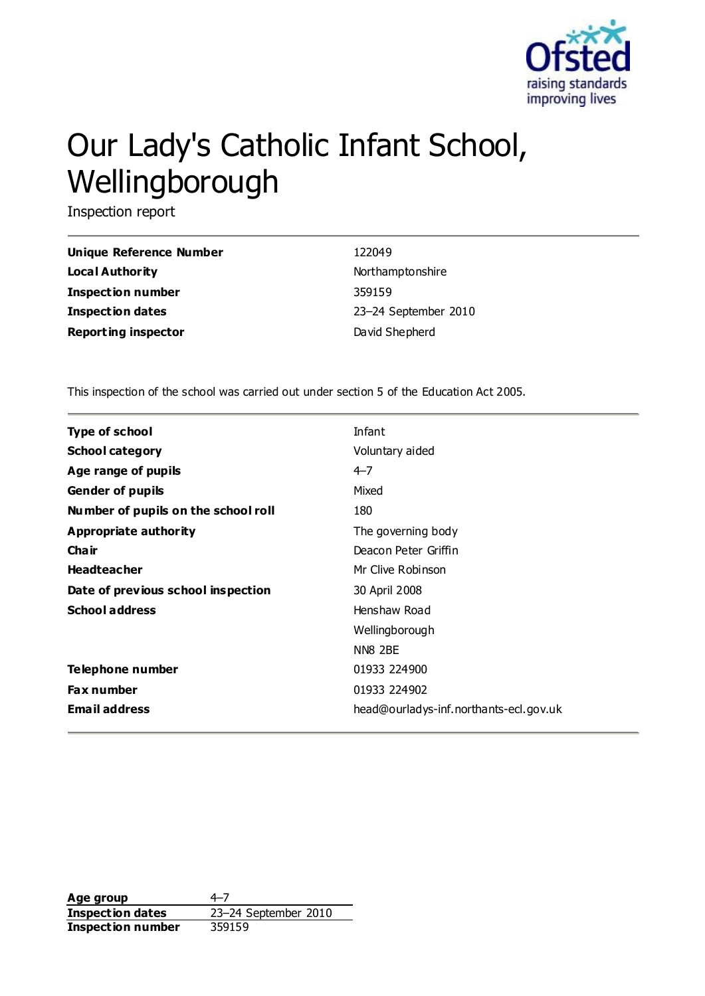

# Our Lady's Catholic Infant School, Wellingborough

Inspection report

| Unique Reference Number    | 122049               |
|----------------------------|----------------------|
| <b>Local Authority</b>     | Northamptonshire     |
| <b>Inspection number</b>   | 359159               |
| <b>Inspection dates</b>    | 23-24 September 2010 |
| <b>Reporting inspector</b> | David Shepherd       |

This inspection of the school was carried out under section 5 of the Education Act 2005.

| <b>Type of school</b>               | Infant                                 |
|-------------------------------------|----------------------------------------|
|                                     |                                        |
| <b>School category</b>              | Voluntary aided                        |
| Age range of pupils                 | $4 - 7$                                |
| <b>Gender of pupils</b>             | Mixed                                  |
| Number of pupils on the school roll | 180                                    |
| Appropriate authority               | The governing body                     |
| Cha ir                              | Deacon Peter Griffin                   |
| <b>Headteacher</b>                  | Mr Clive Robinson                      |
| Date of previous school inspection  | 30 April 2008                          |
| <b>School address</b>               | Henshaw Road                           |
|                                     | Wellingborough                         |
|                                     | NN8 2BE                                |
| <b>Telephone number</b>             | 01933 224900                           |
| <b>Fax number</b>                   | 01933 224902                           |
| <b>Email address</b>                | head@ourladys-inf.northants-ecl.gov.uk |

**Age group** 4–7<br> **Inspection dates** 23–24 September 2010 **Inspection dates Inspection number** 359159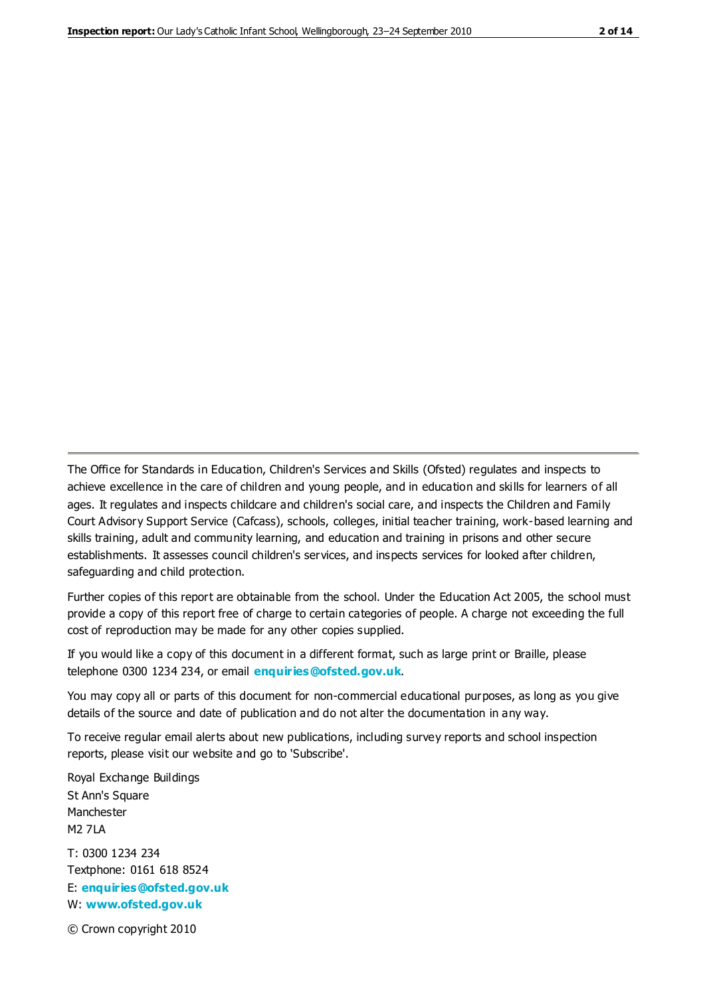The Office for Standards in Education, Children's Services and Skills (Ofsted) regulates and inspects to achieve excellence in the care of children and young people, and in education and skills for learners of all ages. It regulates and inspects childcare and children's social care, and inspects the Children and Family Court Advisory Support Service (Cafcass), schools, colleges, initial teacher training, work-based learning and skills training, adult and community learning, and education and training in prisons and other secure establishments. It assesses council children's services, and inspects services for looked after children, safeguarding and child protection.

Further copies of this report are obtainable from the school. Under the Education Act 2005, the school must provide a copy of this report free of charge to certain categories of people. A charge not exceeding the full cost of reproduction may be made for any other copies supplied.

If you would like a copy of this document in a different format, such as large print or Braille, please telephone 0300 1234 234, or email **[enquiries@ofsted.gov.uk](mailto:enquiries@ofsted.gov.uk)**.

You may copy all or parts of this document for non-commercial educational purposes, as long as you give details of the source and date of publication and do not alter the documentation in any way.

To receive regular email alerts about new publications, including survey reports and school inspection reports, please visit our website and go to 'Subscribe'.

Royal Exchange Buildings St Ann's Square Manchester M2 7LA T: 0300 1234 234 Textphone: 0161 618 8524 E: **[enquiries@ofsted.gov.uk](mailto:enquiries@ofsted.gov.uk)**

W: **[www.ofsted.gov.uk](http://www.ofsted.gov.uk/)**

© Crown copyright 2010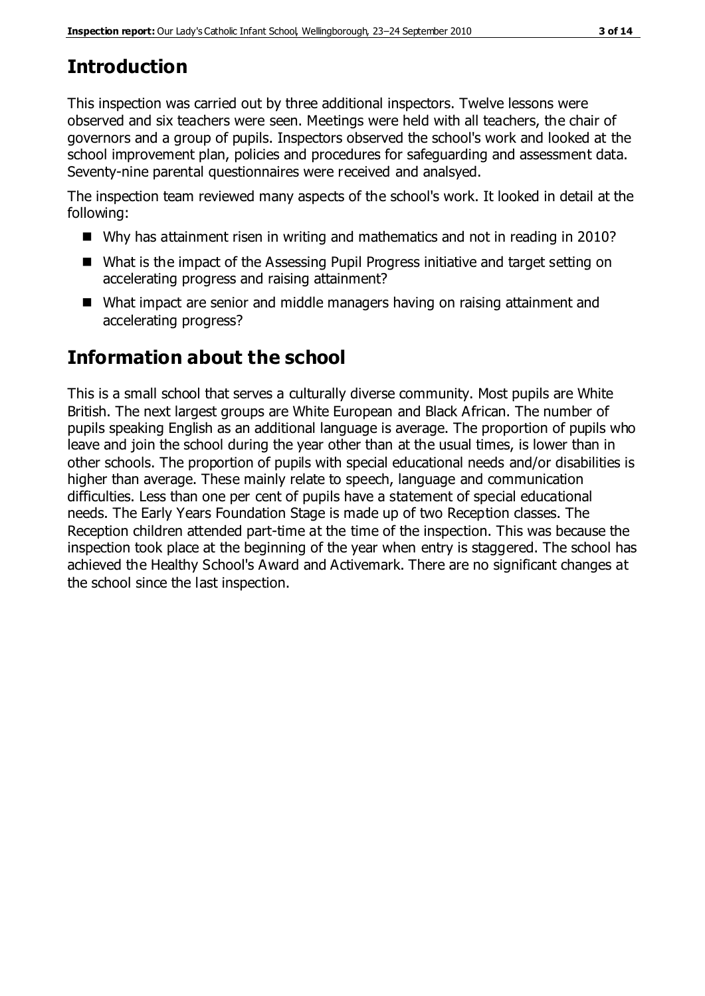# **Introduction**

This inspection was carried out by three additional inspectors. Twelve lessons were observed and six teachers were seen. Meetings were held with all teachers, the chair of governors and a group of pupils. Inspectors observed the school's work and looked at the school improvement plan, policies and procedures for safeguarding and assessment data. Seventy-nine parental questionnaires were received and analsyed.

The inspection team reviewed many aspects of the school's work. It looked in detail at the following:

- Why has attainment risen in writing and mathematics and not in reading in 2010?
- What is the impact of the Assessing Pupil Progress initiative and target setting on accelerating progress and raising attainment?
- What impact are senior and middle managers having on raising attainment and accelerating progress?

# **Information about the school**

This is a small school that serves a culturally diverse community. Most pupils are White British. The next largest groups are White European and Black African. The number of pupils speaking English as an additional language is average. The proportion of pupils who leave and join the school during the year other than at the usual times, is lower than in other schools. The proportion of pupils with special educational needs and/or disabilities is higher than average. These mainly relate to speech, language and communication difficulties. Less than one per cent of pupils have a statement of special educational needs. The Early Years Foundation Stage is made up of two Reception classes. The Reception children attended part-time at the time of the inspection. This was because the inspection took place at the beginning of the year when entry is staggered. The school has achieved the Healthy School's Award and Activemark. There are no significant changes at the school since the last inspection.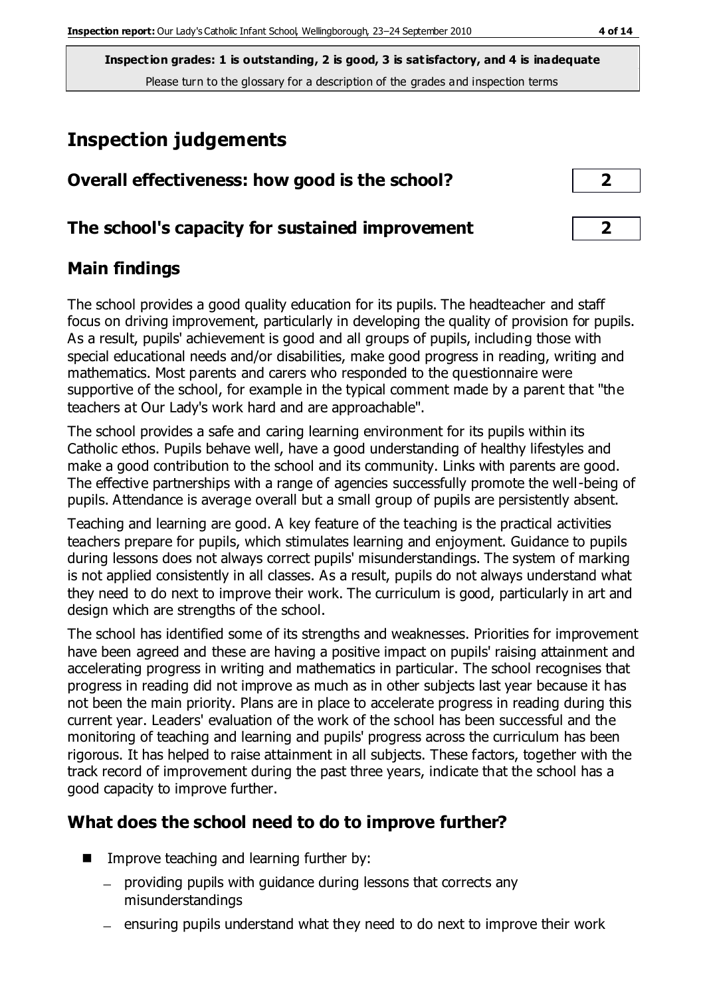# **Inspection judgements**

| Overall effectiveness: how good is the school?  | ┑                       |
|-------------------------------------------------|-------------------------|
| The school's capacity for sustained improvement | $\overline{\mathbf{2}}$ |

## **Main findings**

The school provides a good quality education for its pupils. The headteacher and staff focus on driving improvement, particularly in developing the quality of provision for pupils. As a result, pupils' achievement is good and all groups of pupils, including those with special educational needs and/or disabilities, make good progress in reading, writing and mathematics. Most parents and carers who responded to the questionnaire were supportive of the school, for example in the typical comment made by a parent that "the teachers at Our Lady's work hard and are approachable".

The school provides a safe and caring learning environment for its pupils within its Catholic ethos. Pupils behave well, have a good understanding of healthy lifestyles and make a good contribution to the school and its community. Links with parents are good. The effective partnerships with a range of agencies successfully promote the well-being of pupils. Attendance is average overall but a small group of pupils are persistently absent.

Teaching and learning are good. A key feature of the teaching is the practical activities teachers prepare for pupils, which stimulates learning and enjoyment. Guidance to pupils during lessons does not always correct pupils' misunderstandings. The system of marking is not applied consistently in all classes. As a result, pupils do not always understand what they need to do next to improve their work. The curriculum is good, particularly in art and design which are strengths of the school.

The school has identified some of its strengths and weaknesses. Priorities for improvement have been agreed and these are having a positive impact on pupils' raising attainment and accelerating progress in writing and mathematics in particular. The school recognises that progress in reading did not improve as much as in other subjects last year because it has not been the main priority. Plans are in place to accelerate progress in reading during this current year. Leaders' evaluation of the work of the school has been successful and the monitoring of teaching and learning and pupils' progress across the curriculum has been rigorous. It has helped to raise attainment in all subjects. These factors, together with the track record of improvement during the past three years, indicate that the school has a good capacity to improve further.

## **What does the school need to do to improve further?**

- $\blacksquare$  Improve teaching and learning further by:
	- providing pupils with guidance during lessons that corrects any misunderstandings
	- $-$  ensuring pupils understand what they need to do next to improve their work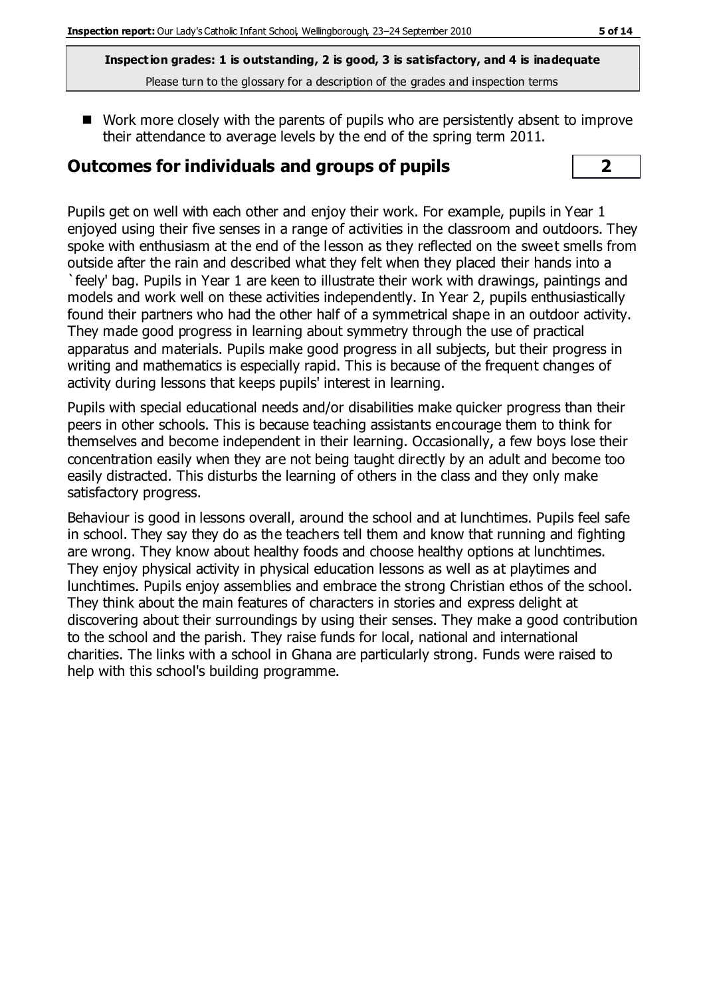■ Work more closely with the parents of pupils who are persistently absent to improve their attendance to average levels by the end of the spring term 2011.

#### **Outcomes for individuals and groups of pupils 2**

Pupils get on well with each other and enjoy their work. For example, pupils in Year 1 enjoyed using their five senses in a range of activities in the classroom and outdoors. They spoke with enthusiasm at the end of the lesson as they reflected on the sweet smells from outside after the rain and described what they felt when they placed their hands into a `feely' bag. Pupils in Year 1 are keen to illustrate their work with drawings, paintings and models and work well on these activities independently. In Year 2, pupils enthusiastically found their partners who had the other half of a symmetrical shape in an outdoor activity. They made good progress in learning about symmetry through the use of practical apparatus and materials. Pupils make good progress in all subjects, but their progress in writing and mathematics is especially rapid. This is because of the frequent changes of activity during lessons that keeps pupils' interest in learning.

Pupils with special educational needs and/or disabilities make quicker progress than their peers in other schools. This is because teaching assistants encourage them to think for themselves and become independent in their learning. Occasionally, a few boys lose their concentration easily when they are not being taught directly by an adult and become too easily distracted. This disturbs the learning of others in the class and they only make satisfactory progress.

Behaviour is good in lessons overall, around the school and at lunchtimes. Pupils feel safe in school. They say they do as the teachers tell them and know that running and fighting are wrong. They know about healthy foods and choose healthy options at lunchtimes. They enjoy physical activity in physical education lessons as well as at playtimes and lunchtimes. Pupils enjoy assemblies and embrace the strong Christian ethos of the school. They think about the main features of characters in stories and express delight at discovering about their surroundings by using their senses. They make a good contribution to the school and the parish. They raise funds for local, national and international charities. The links with a school in Ghana are particularly strong. Funds were raised to help with this school's building programme.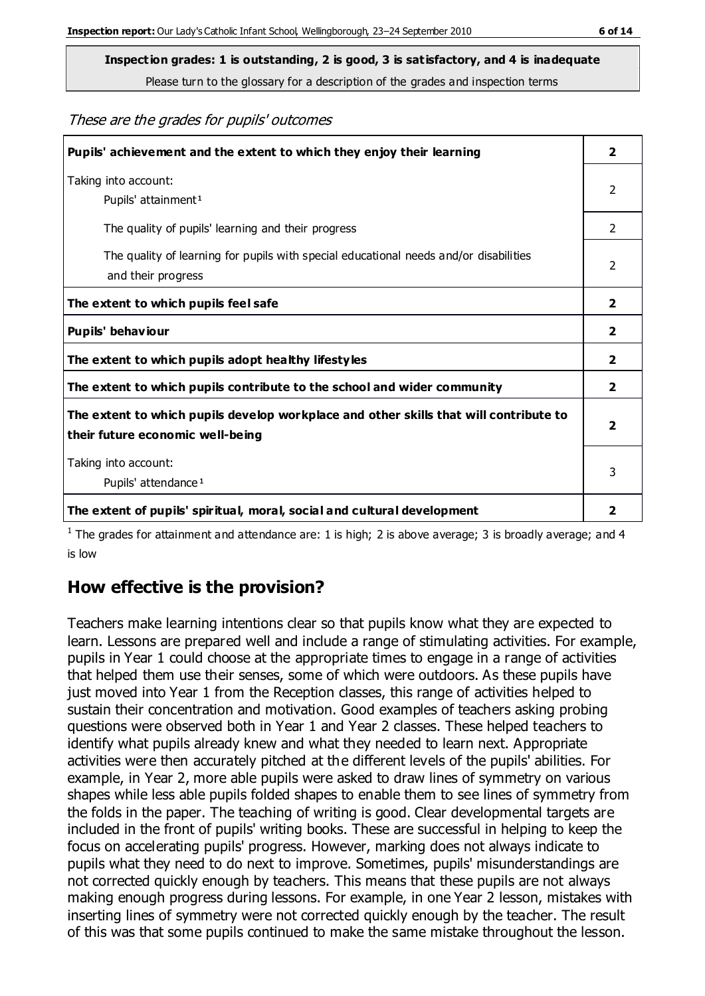**Inspection grades: 1 is outstanding, 2 is good, 3 is satisfactory, and 4 is inadequate**

Please turn to the glossary for a description of the grades and inspection terms

#### These are the grades for pupils' outcomes

| Pupils' achievement and the extent to which they enjoy their learning                                                     | $\overline{2}$          |
|---------------------------------------------------------------------------------------------------------------------------|-------------------------|
| Taking into account:<br>Pupils' attainment <sup>1</sup>                                                                   | 2                       |
| The quality of pupils' learning and their progress                                                                        | $\mathcal{P}$           |
| The quality of learning for pupils with special educational needs and/or disabilities<br>and their progress               | 2                       |
| The extent to which pupils feel safe                                                                                      | 2                       |
| Pupils' behaviour                                                                                                         | 2                       |
| The extent to which pupils adopt healthy lifestyles                                                                       | 2                       |
| The extent to which pupils contribute to the school and wider community                                                   | 2                       |
| The extent to which pupils develop workplace and other skills that will contribute to<br>their future economic well-being | $\overline{\mathbf{2}}$ |
| Taking into account:<br>Pupils' attendance <sup>1</sup>                                                                   | 3                       |
| The extent of pupils' spiritual, moral, social and cultural development                                                   | 2                       |

<sup>1</sup> The grades for attainment and attendance are: 1 is high; 2 is above average; 3 is broadly average; and 4 is low

## **How effective is the provision?**

Teachers make learning intentions clear so that pupils know what they are expected to learn. Lessons are prepared well and include a range of stimulating activities. For example, pupils in Year 1 could choose at the appropriate times to engage in a range of activities that helped them use their senses, some of which were outdoors. As these pupils have just moved into Year 1 from the Reception classes, this range of activities helped to sustain their concentration and motivation. Good examples of teachers asking probing questions were observed both in Year 1 and Year 2 classes. These helped teachers to identify what pupils already knew and what they needed to learn next. Appropriate activities were then accurately pitched at the different levels of the pupils' abilities. For example, in Year 2, more able pupils were asked to draw lines of symmetry on various shapes while less able pupils folded shapes to enable them to see lines of symmetry from the folds in the paper. The teaching of writing is good. Clear developmental targets are included in the front of pupils' writing books. These are successful in helping to keep the focus on accelerating pupils' progress. However, marking does not always indicate to pupils what they need to do next to improve. Sometimes, pupils' misunderstandings are not corrected quickly enough by teachers. This means that these pupils are not always making enough progress during lessons. For example, in one Year 2 lesson, mistakes with inserting lines of symmetry were not corrected quickly enough by the teacher. The result of this was that some pupils continued to make the same mistake throughout the lesson.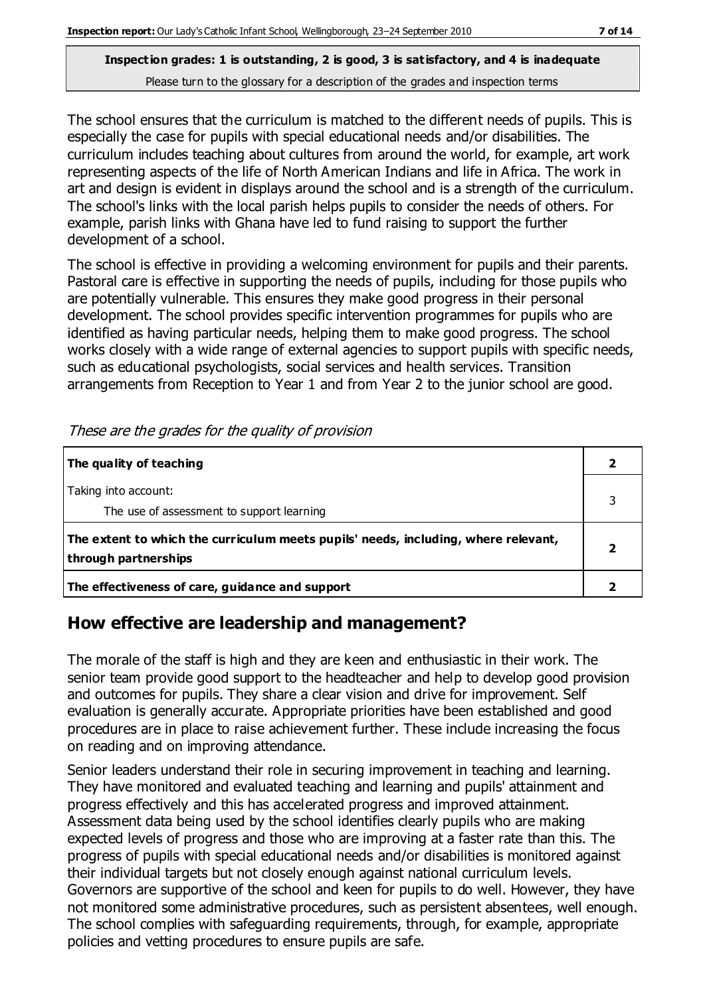The school ensures that the curriculum is matched to the different needs of pupils. This is especially the case for pupils with special educational needs and/or disabilities. The curriculum includes teaching about cultures from around the world, for example, art work representing aspects of the life of North American Indians and life in Africa. The work in art and design is evident in displays around the school and is a strength of the curriculum. The school's links with the local parish helps pupils to consider the needs of others. For example, parish links with Ghana have led to fund raising to support the further development of a school.

The school is effective in providing a welcoming environment for pupils and their parents. Pastoral care is effective in supporting the needs of pupils, including for those pupils who are potentially vulnerable. This ensures they make good progress in their personal development. The school provides specific intervention programmes for pupils who are identified as having particular needs, helping them to make good progress. The school works closely with a wide range of external agencies to support pupils with specific needs, such as educational psychologists, social services and health services. Transition arrangements from Reception to Year 1 and from Year 2 to the junior school are good.

| The quality of teaching                                                                                    |  |
|------------------------------------------------------------------------------------------------------------|--|
| Taking into account:<br>The use of assessment to support learning                                          |  |
| The extent to which the curriculum meets pupils' needs, including, where relevant,<br>through partnerships |  |
| The effectiveness of care, guidance and support                                                            |  |

These are the grades for the quality of provision

## **How effective are leadership and management?**

The morale of the staff is high and they are keen and enthusiastic in their work. The senior team provide good support to the headteacher and help to develop good provision and outcomes for pupils. They share a clear vision and drive for improvement. Self evaluation is generally accurate. Appropriate priorities have been established and good procedures are in place to raise achievement further. These include increasing the focus on reading and on improving attendance.

Senior leaders understand their role in securing improvement in teaching and learning. They have monitored and evaluated teaching and learning and pupils' attainment and progress effectively and this has accelerated progress and improved attainment. Assessment data being used by the school identifies clearly pupils who are making expected levels of progress and those who are improving at a faster rate than this. The progress of pupils with special educational needs and/or disabilities is monitored against their individual targets but not closely enough against national curriculum levels. Governors are supportive of the school and keen for pupils to do well. However, they have not monitored some administrative procedures, such as persistent absentees, well enough. The school complies with safeguarding requirements, through, for example, appropriate policies and vetting procedures to ensure pupils are safe.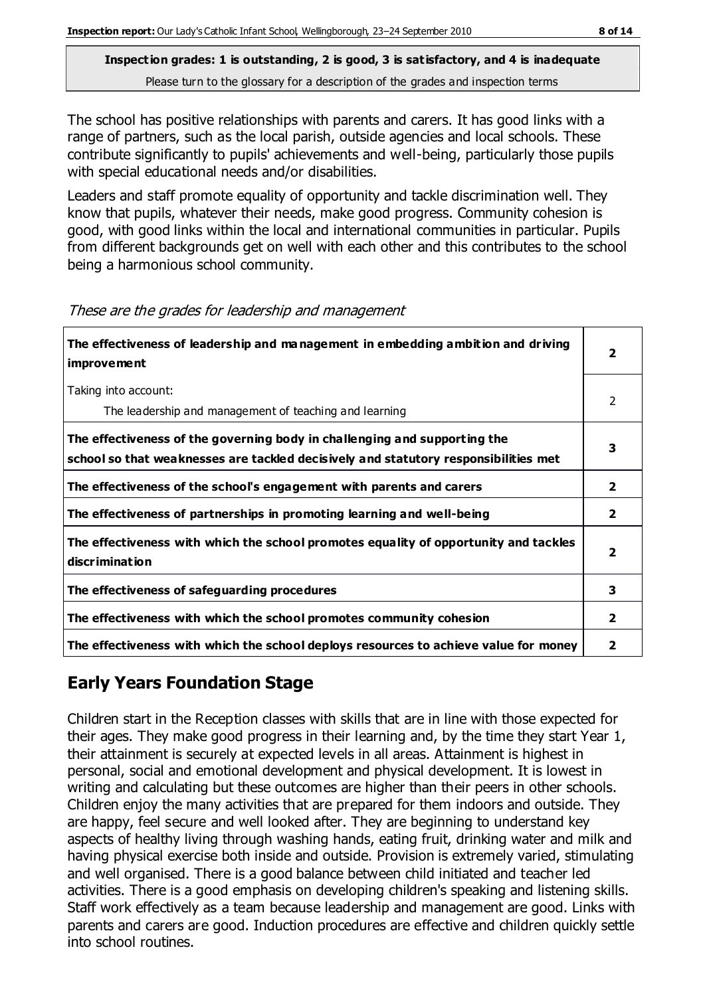The school has positive relationships with parents and carers. It has good links with a range of partners, such as the local parish, outside agencies and local schools. These contribute significantly to pupils' achievements and well-being, particularly those pupils with special educational needs and/or disabilities.

Leaders and staff promote equality of opportunity and tackle discrimination well. They know that pupils, whatever their needs, make good progress. Community cohesion is good, with good links within the local and international communities in particular. Pupils from different backgrounds get on well with each other and this contributes to the school being a harmonious school community.

| The effectiveness of leadership and management in embedding ambition and driving<br><b>improvement</b>                                                           |              |
|------------------------------------------------------------------------------------------------------------------------------------------------------------------|--------------|
| Taking into account:<br>The leadership and management of teaching and learning                                                                                   | 2            |
| The effectiveness of the governing body in challenging and supporting the<br>school so that weaknesses are tackled decisively and statutory responsibilities met |              |
| The effectiveness of the school's engagement with parents and carers                                                                                             | $\mathbf{2}$ |
| The effectiveness of partnerships in promoting learning and well-being                                                                                           | 2            |
| The effectiveness with which the school promotes equality of opportunity and tackles<br><b>discrimination</b>                                                    | 2            |
| The effectiveness of safeguarding procedures                                                                                                                     | 3            |
| The effectiveness with which the school promotes community cohesion                                                                                              | 2            |
| The effectiveness with which the school deploys resources to achieve value for money                                                                             | 2            |

These are the grades for leadership and management

## **Early Years Foundation Stage**

Children start in the Reception classes with skills that are in line with those expected for their ages. They make good progress in their learning and, by the time they start Year 1, their attainment is securely at expected levels in all areas. Attainment is highest in personal, social and emotional development and physical development. It is lowest in writing and calculating but these outcomes are higher than their peers in other schools. Children enjoy the many activities that are prepared for them indoors and outside. They are happy, feel secure and well looked after. They are beginning to understand key aspects of healthy living through washing hands, eating fruit, drinking water and milk and having physical exercise both inside and outside. Provision is extremely varied, stimulating and well organised. There is a good balance between child initiated and teacher led activities. There is a good emphasis on developing children's speaking and listening skills. Staff work effectively as a team because leadership and management are good. Links with parents and carers are good. Induction procedures are effective and children quickly settle into school routines.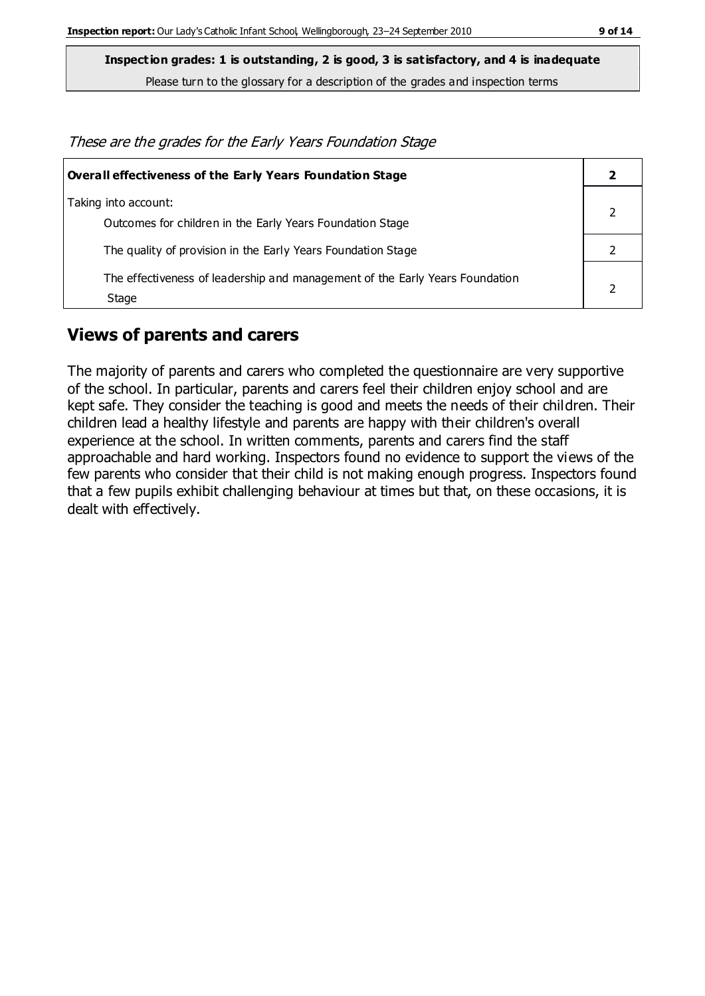**Inspection grades: 1 is outstanding, 2 is good, 3 is satisfactory, and 4 is inadequate**

Please turn to the glossary for a description of the grades and inspection terms

These are the grades for the Early Years Foundation Stage

| Overall effectiveness of the Early Years Foundation Stage                             |  |
|---------------------------------------------------------------------------------------|--|
| Taking into account:<br>Outcomes for children in the Early Years Foundation Stage     |  |
| The quality of provision in the Early Years Foundation Stage                          |  |
| The effectiveness of leadership and management of the Early Years Foundation<br>Stage |  |

#### **Views of parents and carers**

The majority of parents and carers who completed the questionnaire are very supportive of the school. In particular, parents and carers feel their children enjoy school and are kept safe. They consider the teaching is good and meets the needs of their children. Their children lead a healthy lifestyle and parents are happy with their children's overall experience at the school. In written comments, parents and carers find the staff approachable and hard working. Inspectors found no evidence to support the views of the few parents who consider that their child is not making enough progress. Inspectors found that a few pupils exhibit challenging behaviour at times but that, on these occasions, it is dealt with effectively.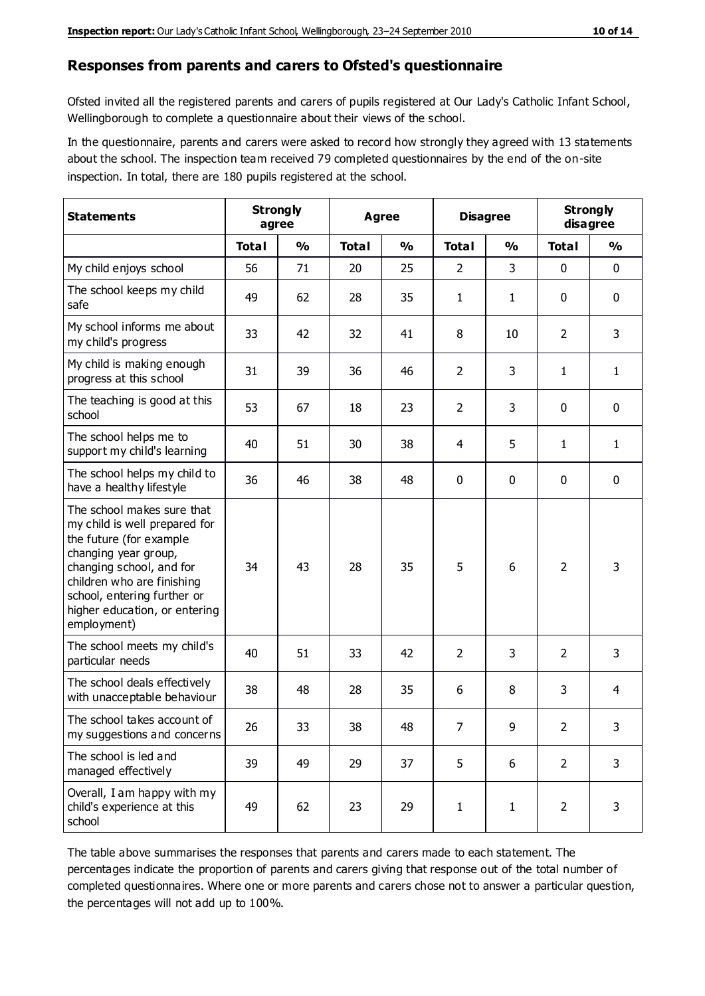#### **Responses from parents and carers to Ofsted's questionnaire**

Ofsted invited all the registered parents and carers of pupils registered at Our Lady's Catholic Infant School, Wellingborough to complete a questionnaire about their views of the school.

In the questionnaire, parents and carers were asked to record how strongly they agreed with 13 statements about the school. The inspection team received 79 completed questionnaires by the end of the on-site inspection. In total, there are 180 pupils registered at the school.

| <b>Statements</b>                                                                                                                                                                                                                                       | <b>Strongly</b><br>agree |               | <b>Agree</b> |               | <b>Disagree</b> |               | <b>Strongly</b><br>disagree |               |
|---------------------------------------------------------------------------------------------------------------------------------------------------------------------------------------------------------------------------------------------------------|--------------------------|---------------|--------------|---------------|-----------------|---------------|-----------------------------|---------------|
|                                                                                                                                                                                                                                                         | <b>Total</b>             | $\frac{0}{0}$ | <b>Total</b> | $\frac{0}{0}$ | <b>Total</b>    | $\frac{0}{0}$ | <b>Total</b>                | $\frac{0}{0}$ |
| My child enjoys school                                                                                                                                                                                                                                  | 56                       | 71            | 20           | 25            | $\overline{2}$  | 3             | 0                           | $\mathbf 0$   |
| The school keeps my child<br>safe                                                                                                                                                                                                                       | 49                       | 62            | 28           | 35            | $\mathbf{1}$    | 1             | 0                           | $\pmb{0}$     |
| My school informs me about<br>my child's progress                                                                                                                                                                                                       | 33                       | 42            | 32           | 41            | 8               | 10            | $\overline{2}$              | 3             |
| My child is making enough<br>progress at this school                                                                                                                                                                                                    | 31                       | 39            | 36           | 46            | $\overline{2}$  | 3             | 1                           | $\mathbf{1}$  |
| The teaching is good at this<br>school                                                                                                                                                                                                                  | 53                       | 67            | 18           | 23            | $\overline{2}$  | 3             | 0                           | 0             |
| The school helps me to<br>support my child's learning                                                                                                                                                                                                   | 40                       | 51            | 30           | 38            | 4               | 5             | 1                           | $\mathbf{1}$  |
| The school helps my child to<br>have a healthy lifestyle                                                                                                                                                                                                | 36                       | 46            | 38           | 48            | $\mathbf 0$     | $\mathbf 0$   | 0                           | 0             |
| The school makes sure that<br>my child is well prepared for<br>the future (for example<br>changing year group,<br>changing school, and for<br>children who are finishing<br>school, entering further or<br>higher education, or entering<br>employment) | 34                       | 43            | 28           | 35            | 5               | 6             | 2                           | 3             |
| The school meets my child's<br>particular needs                                                                                                                                                                                                         | 40                       | 51            | 33           | 42            | $\overline{2}$  | 3             | $\overline{2}$              | 3             |
| The school deals effectively<br>with unacceptable behaviour                                                                                                                                                                                             | 38                       | 48            | 28           | 35            | 6               | 8             | 3                           | 4             |
| The school takes account of<br>my suggestions and concerns                                                                                                                                                                                              | 26                       | 33            | 38           | 48            | $\overline{7}$  | 9             | 2                           | 3             |
| The school is led and<br>managed effectively                                                                                                                                                                                                            | 39                       | 49            | 29           | 37            | 5               | 6             | $\overline{2}$              | 3             |
| Overall, I am happy with my<br>child's experience at this<br>school                                                                                                                                                                                     | 49                       | 62            | 23           | 29            | $\mathbf{1}$    | $\mathbf{1}$  | $\overline{2}$              | 3             |

The table above summarises the responses that parents and carers made to each statement. The percentages indicate the proportion of parents and carers giving that response out of the total number of completed questionnaires. Where one or more parents and carers chose not to answer a particular question, the percentages will not add up to 100%.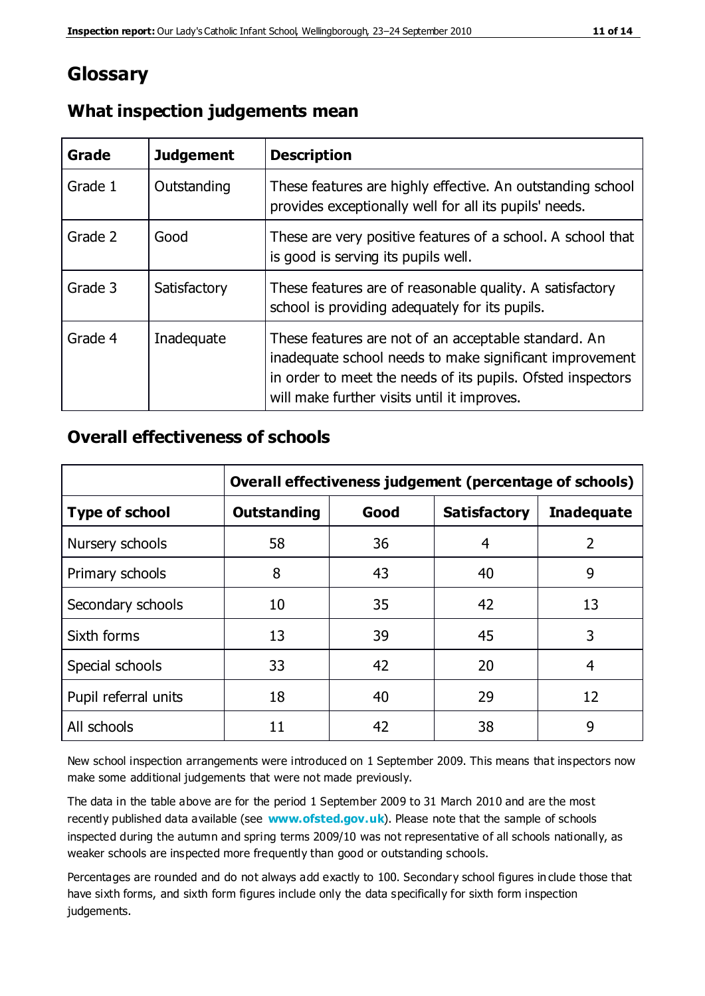## **Glossary**

| Grade   | <b>Judgement</b> | <b>Description</b>                                                                                                                                                                                                            |
|---------|------------------|-------------------------------------------------------------------------------------------------------------------------------------------------------------------------------------------------------------------------------|
| Grade 1 | Outstanding      | These features are highly effective. An outstanding school<br>provides exceptionally well for all its pupils' needs.                                                                                                          |
| Grade 2 | Good             | These are very positive features of a school. A school that<br>is good is serving its pupils well.                                                                                                                            |
| Grade 3 | Satisfactory     | These features are of reasonable quality. A satisfactory<br>school is providing adequately for its pupils.                                                                                                                    |
| Grade 4 | Inadequate       | These features are not of an acceptable standard. An<br>inadequate school needs to make significant improvement<br>in order to meet the needs of its pupils. Ofsted inspectors<br>will make further visits until it improves. |

#### **What inspection judgements mean**

#### **Overall effectiveness of schools**

|                       | Overall effectiveness judgement (percentage of schools) |      |                     |                   |
|-----------------------|---------------------------------------------------------|------|---------------------|-------------------|
| <b>Type of school</b> | <b>Outstanding</b>                                      | Good | <b>Satisfactory</b> | <b>Inadequate</b> |
| Nursery schools       | 58                                                      | 36   | 4                   | 2                 |
| Primary schools       | 8                                                       | 43   | 40                  | 9                 |
| Secondary schools     | 10                                                      | 35   | 42                  | 13                |
| Sixth forms           | 13                                                      | 39   | 45                  | 3                 |
| Special schools       | 33                                                      | 42   | 20                  | 4                 |
| Pupil referral units  | 18                                                      | 40   | 29                  | 12                |
| All schools           | 11                                                      | 42   | 38                  | 9                 |

New school inspection arrangements were introduced on 1 September 2009. This means that inspectors now make some additional judgements that were not made previously.

The data in the table above are for the period 1 September 2009 to 31 March 2010 and are the most recently published data available (see **[www.ofsted.gov.uk](http://www.ofsted.gov.uk/)**). Please note that the sample of schools inspected during the autumn and spring terms 2009/10 was not representative of all schools nationally, as weaker schools are inspected more frequently than good or outstanding schools.

Percentages are rounded and do not always add exactly to 100. Secondary school figures in clude those that have sixth forms, and sixth form figures include only the data specifically for sixth form inspection judgements.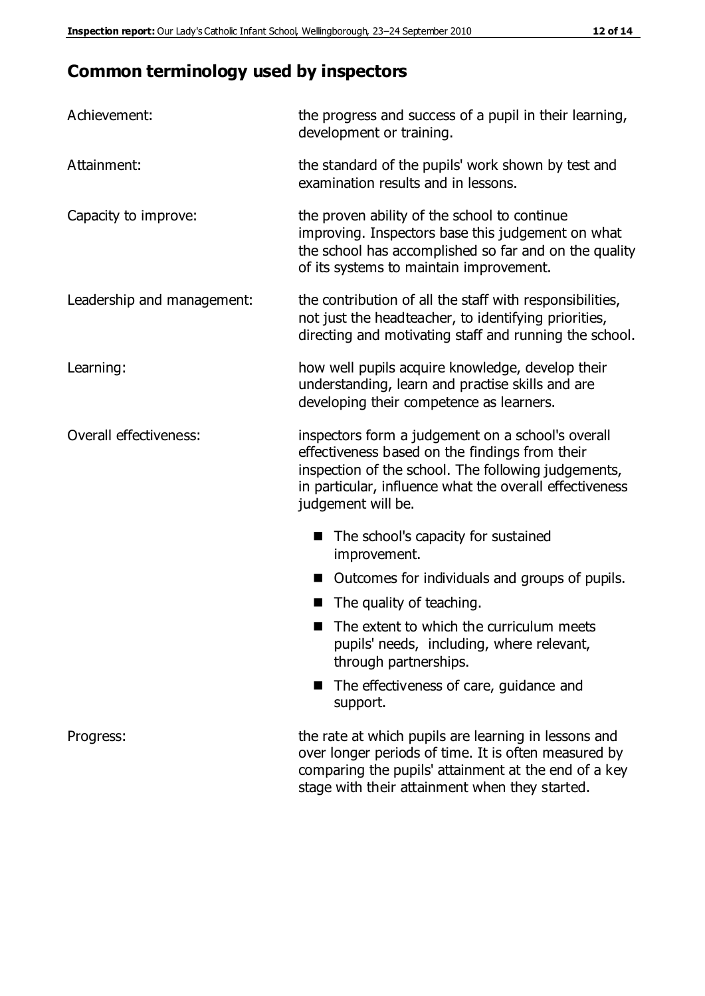# **Common terminology used by inspectors**

| Achievement:               | the progress and success of a pupil in their learning,<br>development or training.                                                                                                                                                          |  |  |
|----------------------------|---------------------------------------------------------------------------------------------------------------------------------------------------------------------------------------------------------------------------------------------|--|--|
| Attainment:                | the standard of the pupils' work shown by test and<br>examination results and in lessons.                                                                                                                                                   |  |  |
| Capacity to improve:       | the proven ability of the school to continue<br>improving. Inspectors base this judgement on what<br>the school has accomplished so far and on the quality<br>of its systems to maintain improvement.                                       |  |  |
| Leadership and management: | the contribution of all the staff with responsibilities,<br>not just the headteacher, to identifying priorities,<br>directing and motivating staff and running the school.                                                                  |  |  |
| Learning:                  | how well pupils acquire knowledge, develop their<br>understanding, learn and practise skills and are<br>developing their competence as learners.                                                                                            |  |  |
| Overall effectiveness:     | inspectors form a judgement on a school's overall<br>effectiveness based on the findings from their<br>inspection of the school. The following judgements,<br>in particular, influence what the overall effectiveness<br>judgement will be. |  |  |
|                            | The school's capacity for sustained<br>improvement.                                                                                                                                                                                         |  |  |
|                            | Outcomes for individuals and groups of pupils.                                                                                                                                                                                              |  |  |
|                            | The quality of teaching.                                                                                                                                                                                                                    |  |  |
|                            | The extent to which the curriculum meets<br>pupils' needs, including, where relevant,<br>through partnerships.                                                                                                                              |  |  |
|                            | The effectiveness of care, guidance and<br>support.                                                                                                                                                                                         |  |  |
| Progress:                  | the rate at which pupils are learning in lessons and<br>over longer periods of time. It is often measured by<br>comparing the pupils' attainment at the end of a key                                                                        |  |  |

stage with their attainment when they started.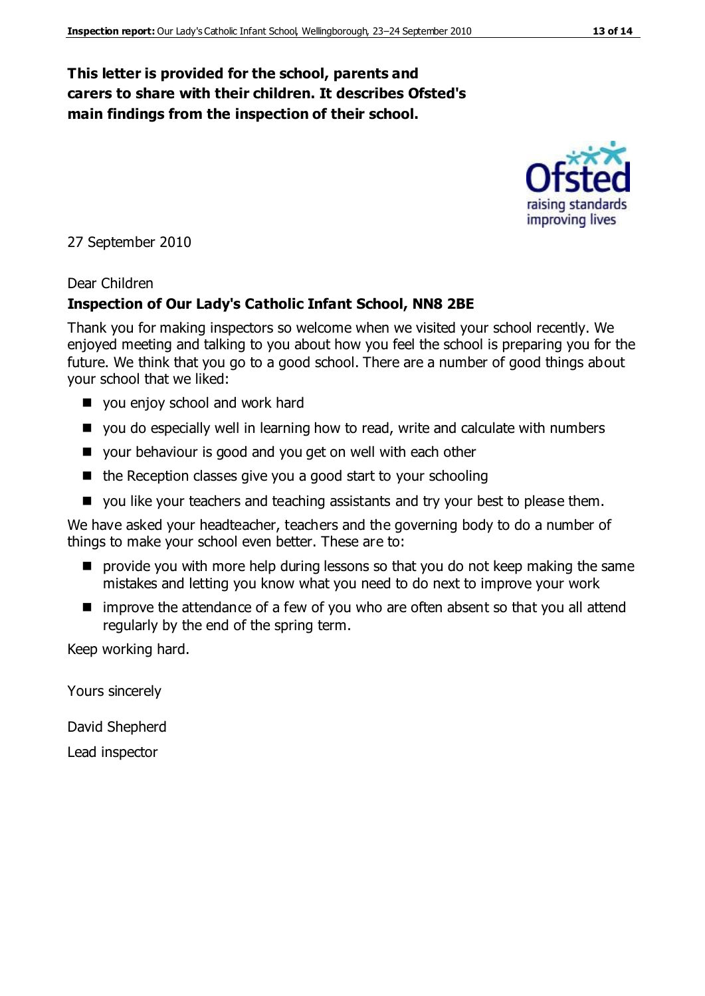#### **This letter is provided for the school, parents and carers to share with their children. It describes Ofsted's main findings from the inspection of their school.**

27 September 2010

#### Dear Children

#### **Inspection of Our Lady's Catholic Infant School, NN8 2BE**

Thank you for making inspectors so welcome when we visited your school recently. We enjoyed meeting and talking to you about how you feel the school is preparing you for the future. We think that you go to a good school. There are a number of good things about your school that we liked:

- vou enjoy school and work hard
- you do especially well in learning how to read, write and calculate with numbers
- vour behaviour is good and you get on well with each other
- $\blacksquare$  the Reception classes give you a good start to your schooling
- vou like your teachers and teaching assistants and try your best to please them.

We have asked your headteacher, teachers and the governing body to do a number of things to make your school even better. These are to:

- **P** provide you with more help during lessons so that you do not keep making the same mistakes and letting you know what you need to do next to improve your work
- improve the attendance of a few of you who are often absent so that you all attend regularly by the end of the spring term.

Keep working hard.

Yours sincerely

David Shepherd

Lead inspector